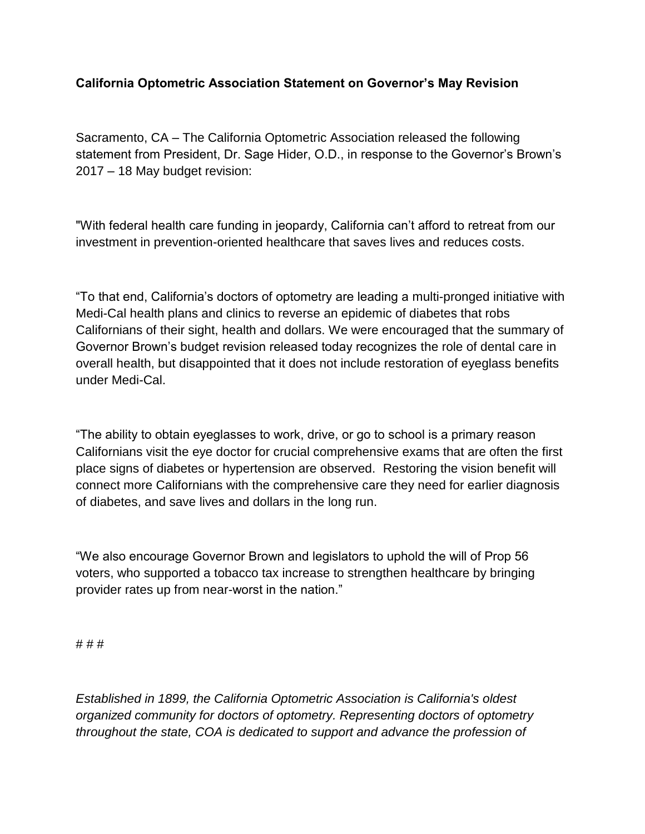## **California Optometric Association Statement on Governor's May Revision**

Sacramento, CA – The California Optometric Association released the following statement from President, Dr. Sage Hider, O.D., in response to the Governor's Brown's 2017 – 18 May budget revision:

"With federal health care funding in jeopardy, California can't afford to retreat from our investment in prevention-oriented healthcare that saves lives and reduces costs.

"To that end, California's doctors of optometry are leading a multi-pronged initiative with Medi-Cal health plans and clinics to reverse an epidemic of diabetes that robs Californians of their sight, health and dollars. We were encouraged that the summary of Governor Brown's budget revision released today recognizes the role of dental care in overall health, but disappointed that it does not include restoration of eyeglass benefits under Medi-Cal.

"The ability to obtain eyeglasses to work, drive, or go to school is a primary reason Californians visit the eye doctor for crucial comprehensive exams that are often the first place signs of diabetes or hypertension are observed. Restoring the vision benefit will connect more Californians with the comprehensive care they need for earlier diagnosis of diabetes, and save lives and dollars in the long run.

"We also encourage Governor Brown and legislators to uphold the will of Prop 56 voters, who supported a tobacco tax increase to strengthen healthcare by bringing provider rates up from near-worst in the nation."

# # #

*Established in 1899, the California Optometric Association is California's oldest organized community for doctors of optometry. Representing doctors of optometry throughout the state, COA is dedicated to support and advance the profession of*